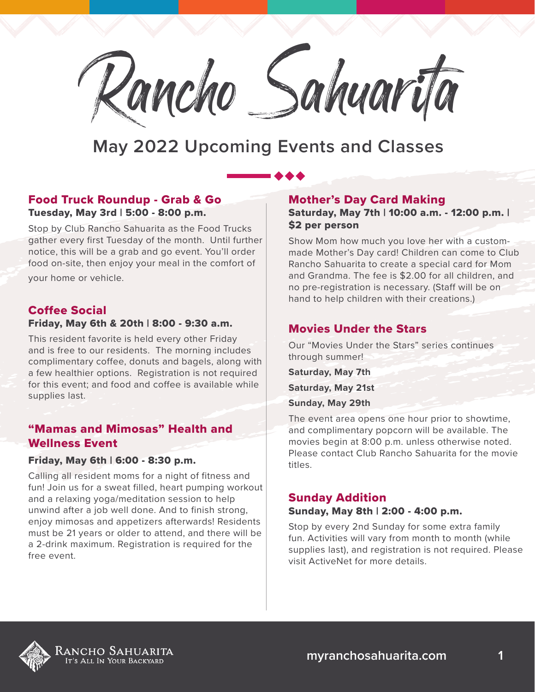

### Food Truck Roundup - Grab & Go Tuesday, May 3rd | 5:00 - 8:00 p.m.

Stop by Club Rancho Sahuarita as the Food Trucks gather every first Tuesday of the month. Until further notice, this will be a grab and go event. You'll order food on-site, then enjoy your meal in the comfort of

your home or vehicle.

## Coffee Social

## Friday, May 6th & 20th | 8:00 - 9:30 a.m.

This resident favorite is held every other Friday and is free to our residents. The morning includes complimentary coffee, donuts and bagels, along with a few healthier options. Registration is not required for this event; and food and coffee is available while supplies last.

## "Mamas and Mimosas" Health and Wellness Event

#### Friday, May 6th | 6:00 - 8:30 p.m.

Calling all resident moms for a night of fitness and fun! Join us for a sweat filled, heart pumping workout and a relaxing yoga/meditation session to help unwind after a job well done. And to finish strong, enjoy mimosas and appetizers afterwards! Residents must be 21 years or older to attend, and there will be a 2-drink maximum. Registration is required for the free event.

## Mother's Day Card Making

Saturday, May 7th | 10:00 a.m. - 12:00 p.m. | \$2 per person

Show Mom how much you love her with a custommade Mother's Day card! Children can come to Club Rancho Sahuarita to create a special card for Mom and Grandma. The fee is \$2.00 for all children, and no pre-registration is necessary. (Staff will be on hand to help children with their creations.)

## Movies Under the Stars

Our "Movies Under the Stars" series continues through summer!

**Saturday, May 7th Saturday, May 21st**

**Sunday, May 29th**

The event area opens one hour prior to showtime, and complimentary popcorn will be available. The movies begin at 8:00 p.m. unless otherwise noted. Please contact Club Rancho Sahuarita for the movie titles.

#### Sunday Addition

#### Sunday, May 8th | 2:00 - 4:00 p.m.

Stop by every 2nd Sunday for some extra family fun. Activities will vary from month to month (while supplies last), and registration is not required. Please visit ActiveNet for more details.

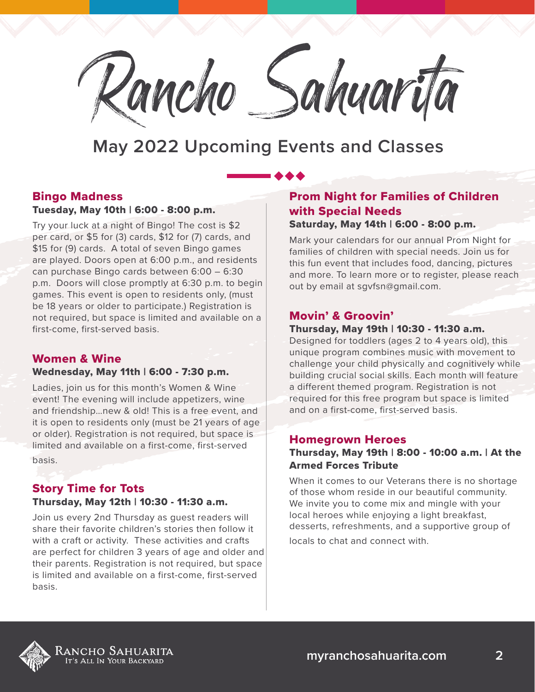

## Bingo Madness

#### Tuesday, May 10th | 6:00 - 8:00 p.m.

Try your luck at a night of Bingo! The cost is \$2 per card, or \$5 for (3) cards, \$12 for (7) cards, and \$15 for (9) cards. A total of seven Bingo games are played. Doors open at 6:00 p.m., and residents can purchase Bingo cards between 6:00 – 6:30 p.m. Doors will close promptly at 6:30 p.m. to begin games. This event is open to residents only, (must be 18 years or older to participate.) Registration is not required, but space is limited and available on a first-come, first-served basis.

## Women & Wine

#### Wednesday, May 11th | 6:00 - 7:30 p.m.

Ladies, join us for this month's Women & Wine event! The evening will include appetizers, wine and friendship…new & old! This is a free event, and it is open to residents only (must be 21 years of age or older). Registration is not required, but space is limited and available on a first-come, first-served basis.

#### Story Time for Tots Thursday, May 12th | 10:30 - 11:30 a.m.

Join us every 2nd Thursday as guest readers will share their favorite children's stories then follow it with a craft or activity. These activities and crafts are perfect for children 3 years of age and older and their parents. Registration is not required, but space is limited and available on a first-come, first-served basis.

## Prom Night for Families of Children with Special Needs

#### Saturday, May 14th | 6:00 - 8:00 p.m.

Mark your calendars for our annual Prom Night for families of children with special needs. Join us for this fun event that includes food, dancing, pictures and more. To learn more or to register, please reach out by email at sgvfsn@gmail.com.

## Movin' & Groovin'

#### Thursday, May 19th | 10:30 - 11:30 a.m.

Designed for toddlers (ages 2 to 4 years old), this unique program combines music with movement to challenge your child physically and cognitively while building crucial social skills. Each month will feature a different themed program. Registration is not required for this free program but space is limited and on a first-come, first-served basis.

#### Homegrown Heroes

#### Thursday, May 19th | 8:00 - 10:00 a.m. | At the Armed Forces Tribute

When it comes to our Veterans there is no shortage of those whom reside in our beautiful community. We invite you to come mix and mingle with your local heroes while enjoying a light breakfast, desserts, refreshments, and a supportive group of locals to chat and connect with.

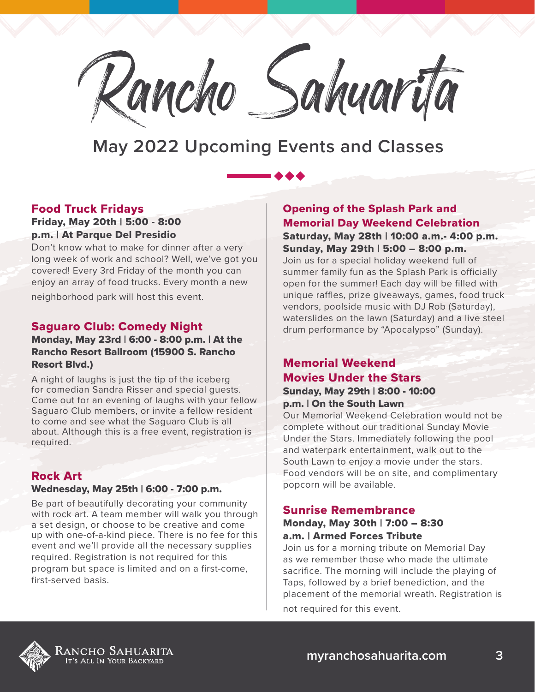

## Food Truck Fridays

## Friday, May 20th | 5:00 - 8:00 p.m. | At Parque Del Presidio

Don't know what to make for dinner after a very long week of work and school? Well, we've got you covered! Every 3rd Friday of the month you can enjoy an array of food trucks. Every month a new

neighborhood park will host this event.

## Saguaro Club: Comedy Night

### Monday, May 23rd | 6:00 - 8:00 p.m. | At the Rancho Resort Ballroom (15900 S. Rancho Resort Blvd.)

A night of laughs is just the tip of the iceberg for comedian Sandra Risser and special guests. Come out for an evening of laughs with your fellow Saguaro Club members, or invite a fellow resident to come and see what the Saguaro Club is all about. Although this is a free event, registration is required.

## Rock Art

#### Wednesday, May 25th | 6:00 - 7:00 p.m.

Be part of beautifully decorating your community with rock art. A team member will walk you through a set design, or choose to be creative and come up with one-of-a-kind piece. There is no fee for this event and we'll provide all the necessary supplies required. Registration is not required for this program but space is limited and on a first-come, first-served basis.

Opening of the Splash Park and Memorial Day Weekend Celebration Saturday, May 28th | 10:00 a.m.- 4:00 p.m. Sunday, May 29th | 5:00 – 8:00 p.m. Join us for a special holiday weekend full of summer family fun as the Splash Park is officially open for the summer! Each day will be filled with unique raffles, prize giveaways, games, food truck vendors, poolside music with DJ Rob (Saturday), waterslides on the lawn (Saturday) and a live steel drum performance by "Apocalypso" (Sunday).

## Memorial Weekend Movies Under the Stars Sunday, May 29th | 8:00 - 10:00 p.m. | On the South Lawn

Our Memorial Weekend Celebration would not be complete without our traditional Sunday Movie Under the Stars. Immediately following the pool and waterpark entertainment, walk out to the South Lawn to enjoy a movie under the stars. Food vendors will be on site, and complimentary popcorn will be available.

#### Sunrise Remembrance Monday, May 30th | 7:00 – 8:30

## a.m. | Armed Forces Tribute

Join us for a morning tribute on Memorial Day as we remember those who made the ultimate sacrifice. The morning will include the playing of Taps, followed by a brief benediction, and the placement of the memorial wreath. Registration is not required for this event.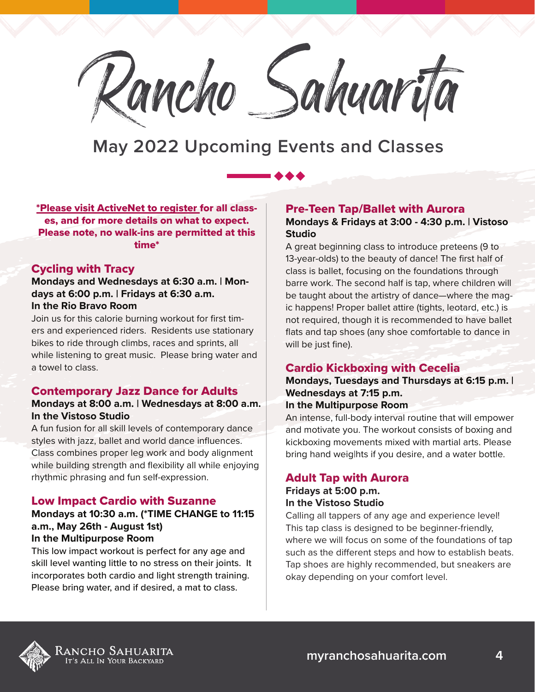

\*Please visit ActiveNet to register for all classes, and for more details on what to expect. Please note, no walk-ins are permitted at this time\*

### Cycling with Tracy

**Mondays and Wednesdays at 6:30 a.m. | Mondays at 6:00 p.m. | Fridays at 6:30 a.m. In the Rio Bravo Room**

Join us for this calorie burning workout for first timers and experienced riders. Residents use stationary bikes to ride through climbs, races and sprints, all while listening to great music. Please bring water and a towel to class.

#### Contemporary Jazz Dance for Adults

#### **Mondays at 8:00 a.m. | Wednesdays at 8:00 a.m. In the Vistoso Studio**

A fun fusion for all skill levels of contemporary dance styles with jazz, ballet and world dance influences. Class combines proper leg work and body alignment while building strength and flexibility all while enjoying rhythmic phrasing and fun self-expression.

#### Low Impact Cardio with Suzanne

#### **Mondays at 10:30 a.m. (\*TIME CHANGE to 11:15 a.m., May 26th - August 1st) In the Multipurpose Room**

This low impact workout is perfect for any age and skill level wanting little to no stress on their joints. It incorporates both cardio and light strength training. Please bring water, and if desired, a mat to class.

#### Pre-Teen Tap/Ballet with Aurora

#### **Mondays & Fridays at 3:00 - 4:30 p.m. | Vistoso Studio**

A great beginning class to introduce preteens (9 to 13-year-olds) to the beauty of dance! The first half of class is ballet, focusing on the foundations through barre work. The second half is tap, where children will be taught about the artistry of dance—where the magic happens! Proper ballet attire (tights, leotard, etc.) is not required, though it is recommended to have ballet flats and tap shoes (any shoe comfortable to dance in will be just fine).

#### Cardio Kickboxing with Cecelia

## **Mondays, Tuesdays and Thursdays at 6:15 p.m. | Wednesdays at 7:15 p.m.**

#### **In the Multipurpose Room**

An intense, full-body interval routine that will empower and motivate you. The workout consists of boxing and kickboxing movements mixed with martial arts. Please bring hand weig|hts if you desire, and a water bottle.

### Adult Tap with Aurora **Fridays at 5:00 p.m. In the Vistoso Studio**

Calling all tappers of any age and experience level! This tap class is designed to be beginner-friendly, where we will focus on some of the foundations of tap such as the different steps and how to establish beats. Tap shoes are highly recommended, but sneakers are okay depending on your comfort level.

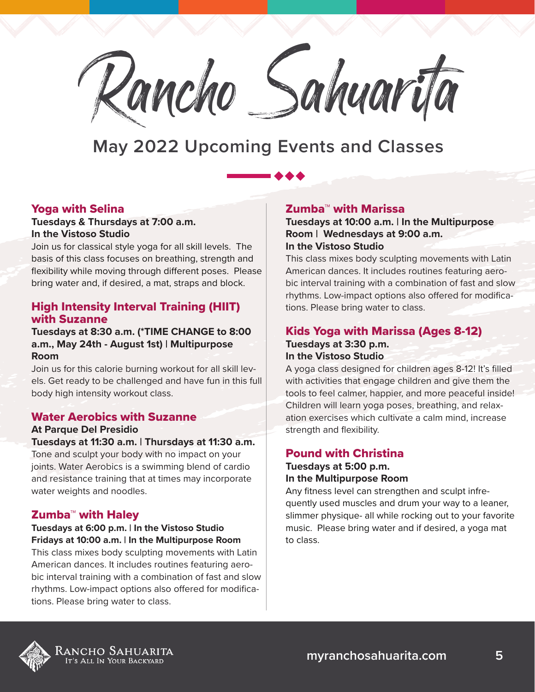

### Yoga with Selina

### **Tuesdays & Thursdays at 7:00 a.m. In the Vistoso Studio**

Join us for classical style yoga for all skill levels. The basis of this class focuses on breathing, strength and flexibility while moving through different poses. Please bring water and, if desired, a mat, straps and block.

## High Intensity Interval Training (HIIT) with Suzanne

#### **Tuesdays at 8:30 a.m. (\*TIME CHANGE to 8:00 a.m., May 24th - August 1st) | Multipurpose Room**

Join us for this calorie burning workout for all skill levels. Get ready to be challenged and have fun in this full body high intensity workout class.

## Water Aerobics with Suzanne

#### **At Parque Del Presidio**

## **Tuesdays at 11:30 a.m. | Thursdays at 11:30 a.m.**

Tone and sculpt your body with no impact on your joints. Water Aerobics is a swimming blend of cardio and resistance training that at times may incorporate water weights and noodles.

## Zumba™ with Haley

#### **Tuesdays at 6:00 p.m. | In the Vistoso Studio Fridays at 10:00 a.m. | In the Multipurpose Room**

This class mixes body sculpting movements with Latin American dances. It includes routines featuring aerobic interval training with a combination of fast and slow rhythms. Low-impact options also offered for modifications. Please bring water to class.

## Zumba™ with Marissa

**Tuesdays at 10:00 a.m. | In the Multipurpose Room | Wednesdays at 9:00 a.m. In the Vistoso Studio**

This class mixes body sculpting movements with Latin American dances. It includes routines featuring aerobic interval training with a combination of fast and slow rhythms. Low-impact options also offered for modifications. Please bring water to class.

## Kids Yoga with Marissa (Ages 8-12) **Tuesdays at 3:30 p.m.**

## **In the Vistoso Studio**

A yoga class designed for children ages 8-12! It's filled with activities that engage children and give them the tools to feel calmer, happier, and more peaceful inside! Children will learn yoga poses, breathing, and relaxation exercises which cultivate a calm mind, increase strength and flexibility.

## Pound with Christina

#### **Tuesdays at 5:00 p.m. In the Multipurpose Room**

Any fitness level can strengthen and sculpt infrequently used muscles and drum your way to a leaner, slimmer physique- all while rocking out to your favorite music. Please bring water and if desired, a yoga mat to class.

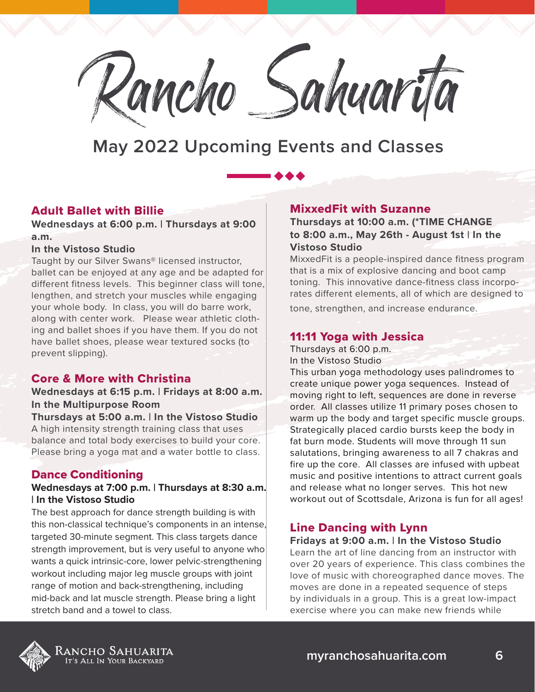

## Adult Ballet with Billie

**Wednesdays at 6:00 p.m. | Thursdays at 9:00 a.m.**

#### **In the Vistoso Studio**

Taught by our Silver Swans® licensed instructor, ballet can be enjoyed at any age and be adapted for different fitness levels. This beginner class will tone, lengthen, and stretch your muscles while engaging your whole body. In class, you will do barre work, along with center work. Please wear athletic clothing and ballet shoes if you have them. If you do not have ballet shoes, please wear textured socks (to prevent slipping).

## Core & More with Christina

**Wednesdays at 6:15 p.m. | Fridays at 8:00 a.m. In the Multipurpose Room**

**Thursdays at 5:00 a.m. | In the Vistoso Studio** A high intensity strength training class that uses balance and total body exercises to build your core. Please bring a yoga mat and a water bottle to class.

## Dance Conditioning

#### **Wednesdays at 7:00 p.m. | Thursdays at 8:30 a.m. | In the Vistoso Studio**

The best approach for dance strength building is with this non-classical technique's components in an intense, targeted 30-minute segment. This class targets dance strength improvement, but is very useful to anyone who wants a quick intrinsic-core, lower pelvic-strengthening workout including major leg muscle groups with joint range of motion and back-strengthening, including mid-back and lat muscle strength. Please bring a light stretch band and a towel to class.

## MixxedFit with Suzanne

**Thursdays at 10:00 a.m. (\*TIME CHANGE to 8:00 a.m., May 26th - August 1st | In the Vistoso Studio**

MixxedFit is a people-inspired dance fitness program that is a mix of explosive dancing and boot camp toning. This innovative dance-fitness class incorporates different elements, all of which are designed to tone, strengthen, and increase endurance.

## 11:11 Yoga with Jessica

Thursdays at 6:00 p.m. In the Vistoso Studio

This urban yoga methodology uses palindromes to create unique power yoga sequences. Instead of moving right to left, sequences are done in reverse order. All classes utilize 11 primary poses chosen to warm up the body and target specific muscle groups. Strategically placed cardio bursts keep the body in fat burn mode. Students will move through 11 sun salutations, bringing awareness to all 7 chakras and fire up the core. All classes are infused with upbeat music and positive intentions to attract current goals and release what no longer serves. This hot new workout out of Scottsdale, Arizona is fun for all ages!

## Line Dancing with Lynn

#### **Fridays at 9:00 a.m. | In the Vistoso Studio**

Learn the art of line dancing from an instructor with over 20 years of experience. This class combines the love of music with choreographed dance moves. The moves are done in a repeated sequence of steps by individuals in a group. This is a great low-impact exercise where you can make new friends while